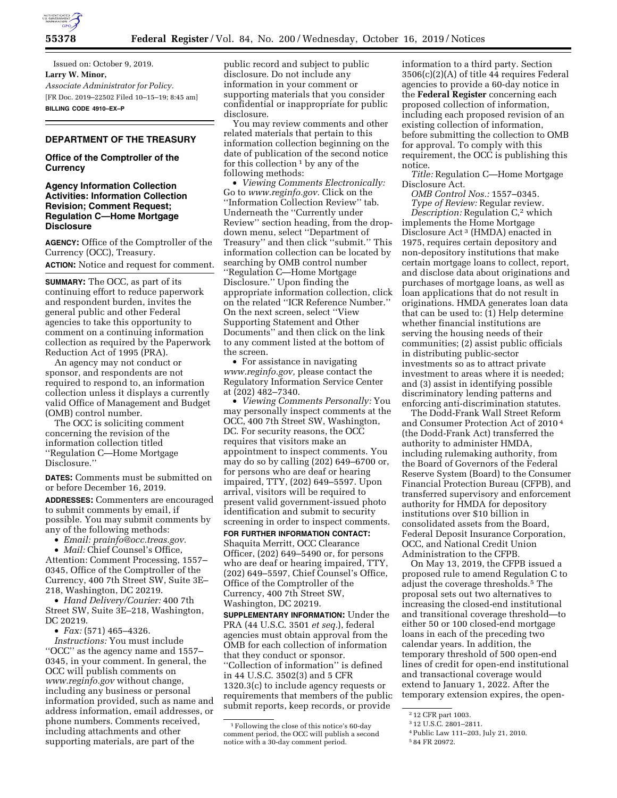

Issued on: October 9, 2019. **Larry W. Minor,**  *Associate Administrator for Policy.*  [FR Doc. 2019–22502 Filed 10–15–19; 8:45 am] **BILLING CODE 4910–EX–P** 

## **DEPARTMENT OF THE TREASURY**

## **Office of the Comptroller of the Currency**

## **Agency Information Collection Activities: Information Collection Revision; Comment Request; Regulation C—Home Mortgage Disclosure**

**AGENCY:** Office of the Comptroller of the Currency (OCC), Treasury.

**ACTION:** Notice and request for comment.

**SUMMARY:** The OCC, as part of its continuing effort to reduce paperwork and respondent burden, invites the general public and other Federal agencies to take this opportunity to comment on a continuing information collection as required by the Paperwork Reduction Act of 1995 (PRA).

An agency may not conduct or sponsor, and respondents are not required to respond to, an information collection unless it displays a currently valid Office of Management and Budget (OMB) control number.

The OCC is soliciting comment concerning the revision of the information collection titled ''Regulation C—Home Mortgage Disclosure.''

**DATES:** Comments must be submitted on or before December 16, 2019.

**ADDRESSES:** Commenters are encouraged to submit comments by email, if possible. You may submit comments by any of the following methods:

• *Email: [prainfo@occ.treas.gov.](mailto:prainfo@occ.treas.gov)* 

• *Mail:* Chief Counsel's Office, Attention: Comment Processing, 1557– 0345, Office of the Comptroller of the Currency, 400 7th Street SW, Suite 3E– 218, Washington, DC 20219.

• *Hand Delivery/Courier:* 400 7th Street SW, Suite 3E–218, Washington, DC 20219.

• *Fax:* (571) 465–4326.

*Instructions:* You must include ''OCC'' as the agency name and 1557– 0345, in your comment. In general, the OCC will publish comments on *[www.reginfo.gov](http://www.reginfo.gov)* without change, including any business or personal information provided, such as name and address information, email addresses, or phone numbers. Comments received, including attachments and other supporting materials, are part of the

public record and subject to public disclosure. Do not include any information in your comment or supporting materials that you consider confidential or inappropriate for public disclosure.

You may review comments and other related materials that pertain to this information collection beginning on the date of publication of the second notice for this collection  $1$  by any of the following methods:

• *Viewing Comments Electronically:*  Go to *[www.reginfo.gov.](http://www.reginfo.gov)* Click on the ''Information Collection Review'' tab. Underneath the ''Currently under Review'' section heading, from the dropdown menu, select ''Department of Treasury'' and then click ''submit.'' This information collection can be located by searching by OMB control number ''Regulation C—Home Mortgage Disclosure.'' Upon finding the appropriate information collection, click on the related ''ICR Reference Number.'' On the next screen, select ''View Supporting Statement and Other Documents'' and then click on the link to any comment listed at the bottom of the screen.

• For assistance in navigating *[www.reginfo.gov,](http://www.reginfo.gov)* please contact the Regulatory Information Service Center at (202) 482–7340.

• *Viewing Comments Personally:* You may personally inspect comments at the OCC, 400 7th Street SW, Washington, DC. For security reasons, the OCC requires that visitors make an appointment to inspect comments. You may do so by calling (202) 649–6700 or, for persons who are deaf or hearing impaired, TTY, (202) 649–5597. Upon arrival, visitors will be required to present valid government-issued photo identification and submit to security screening in order to inspect comments. **FOR FURTHER INFORMATION CONTACT:** 

Shaquita Merritt, OCC Clearance Officer, (202) 649–5490 or, for persons who are deaf or hearing impaired, TTY, (202) 649–5597, Chief Counsel's Office, Office of the Comptroller of the Currency, 400 7th Street SW, Washington, DC 20219.

**SUPPLEMENTARY INFORMATION:** Under the PRA (44 U.S.C. 3501 *et seq.*), federal agencies must obtain approval from the OMB for each collection of information that they conduct or sponsor. ''Collection of information'' is defined in 44 U.S.C. 3502(3) and 5 CFR 1320.3(c) to include agency requests or requirements that members of the public submit reports, keep records, or provide

information to a third party. Section 3506(c)(2)(A) of title 44 requires Federal agencies to provide a 60-day notice in the **Federal Register** concerning each proposed collection of information, including each proposed revision of an existing collection of information, before submitting the collection to OMB for approval. To comply with this requirement, the OCC is publishing this notice.

*Title:* Regulation C—Home Mortgage Disclosure Act.

*OMB Control Nos.:* 1557–0345. *Type of Review:* Regular review.

*Description:* Regulation C,2 which implements the Home Mortgage Disclosure Act 3 (HMDA) enacted in 1975, requires certain depository and non-depository institutions that make certain mortgage loans to collect, report, and disclose data about originations and purchases of mortgage loans, as well as loan applications that do not result in originations. HMDA generates loan data that can be used to: (1) Help determine whether financial institutions are serving the housing needs of their communities; (2) assist public officials in distributing public-sector investments so as to attract private investment to areas where it is needed; and (3) assist in identifying possible discriminatory lending patterns and enforcing anti-discrimination statutes.

The Dodd-Frank Wall Street Reform and Consumer Protection Act of 2010 4 (the Dodd-Frank Act) transferred the authority to administer HMDA, including rulemaking authority, from the Board of Governors of the Federal Reserve System (Board) to the Consumer Financial Protection Bureau (CFPB), and transferred supervisory and enforcement authority for HMDA for depository institutions over \$10 billion in consolidated assets from the Board, Federal Deposit Insurance Corporation, OCC, and National Credit Union Administration to the CFPB.

On May 13, 2019, the CFPB issued a proposed rule to amend Regulation C to adjust the coverage thresholds.5 The proposal sets out two alternatives to increasing the closed-end institutional and transitional coverage threshold—to either 50 or 100 closed-end mortgage loans in each of the preceding two calendar years. In addition, the temporary threshold of 500 open-end lines of credit for open-end institutional and transactional coverage would extend to January 1, 2022. After the temporary extension expires, the open-

<sup>1</sup>Following the close of this notice's 60-day comment period, the OCC will publish a second notice with a 30-day comment period.

<sup>2</sup> 12 CFR part 1003.

<sup>3</sup> 12 U.S.C. 2801–2811.

<sup>4</sup>Public Law 111–203, July 21, 2010.

<sup>5</sup> 84 FR 20972.